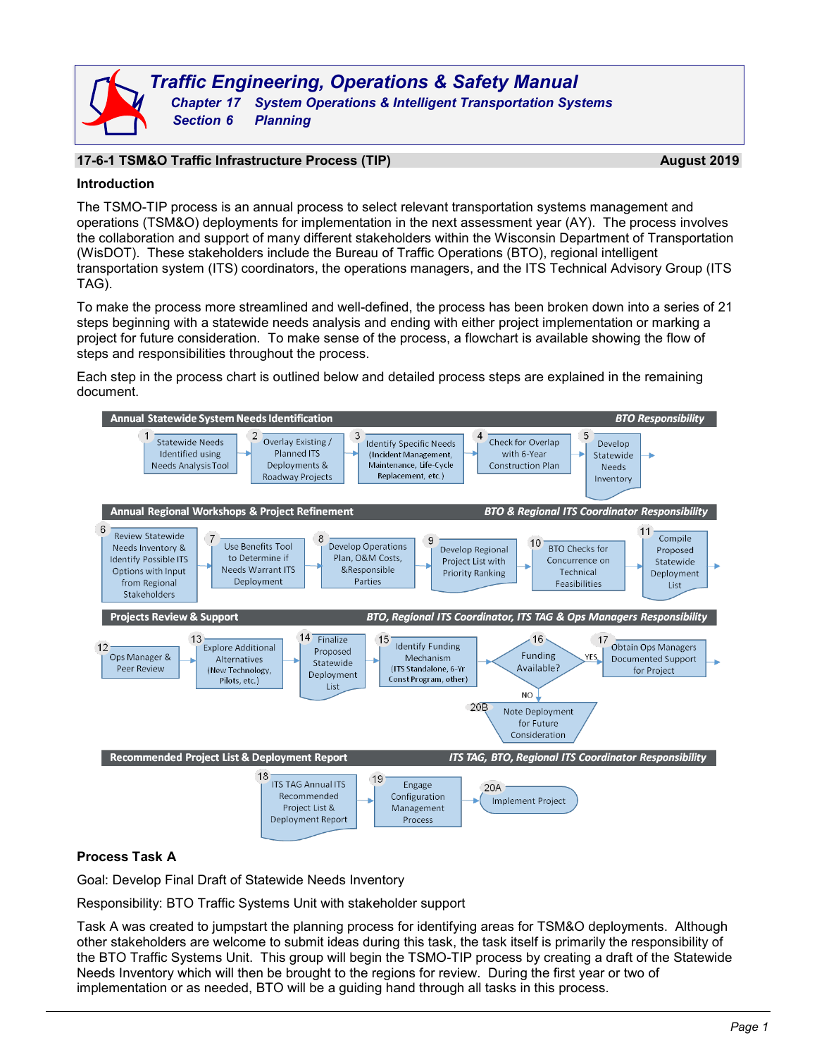## **17-6-1 TSM&O Traffic Infrastructure Process (TIP) August 2019**

### **Introduction**

The TSMO-TIP process is an annual process to select relevant transportation systems management and operations (TSM&O) deployments for implementation in the next assessment year (AY). The process involves the collaboration and support of many different stakeholders within the Wisconsin Department of Transportation (WisDOT). These stakeholders include the Bureau of Traffic Operations (BTO), regional intelligent transportation system (ITS) coordinators, the operations managers, and the ITS Technical Advisory Group (ITS TAG).

To make the process more streamlined and well-defined, the process has been broken down into a series of 21 steps beginning with a statewide needs analysis and ending with either project implementation or marking a project for future consideration. To make sense of the process, a flowchart is available showing the flow of steps and responsibilities throughout the process.

Each step in the process chart is outlined below and detailed process steps are explained in the remaining document.



## **Process Task A**

Goal: Develop Final Draft of Statewide Needs Inventory

Responsibility: BTO Traffic Systems Unit with stakeholder support

Task A was created to jumpstart the planning process for identifying areas for TSM&O deployments. Although other stakeholders are welcome to submit ideas during this task, the task itself is primarily the responsibility of the BTO Traffic Systems Unit. This group will begin the TSMO-TIP process by creating a draft of the Statewide Needs Inventory which will then be brought to the regions for review. During the first year or two of implementation or as needed, BTO will be a guiding hand through all tasks in this process.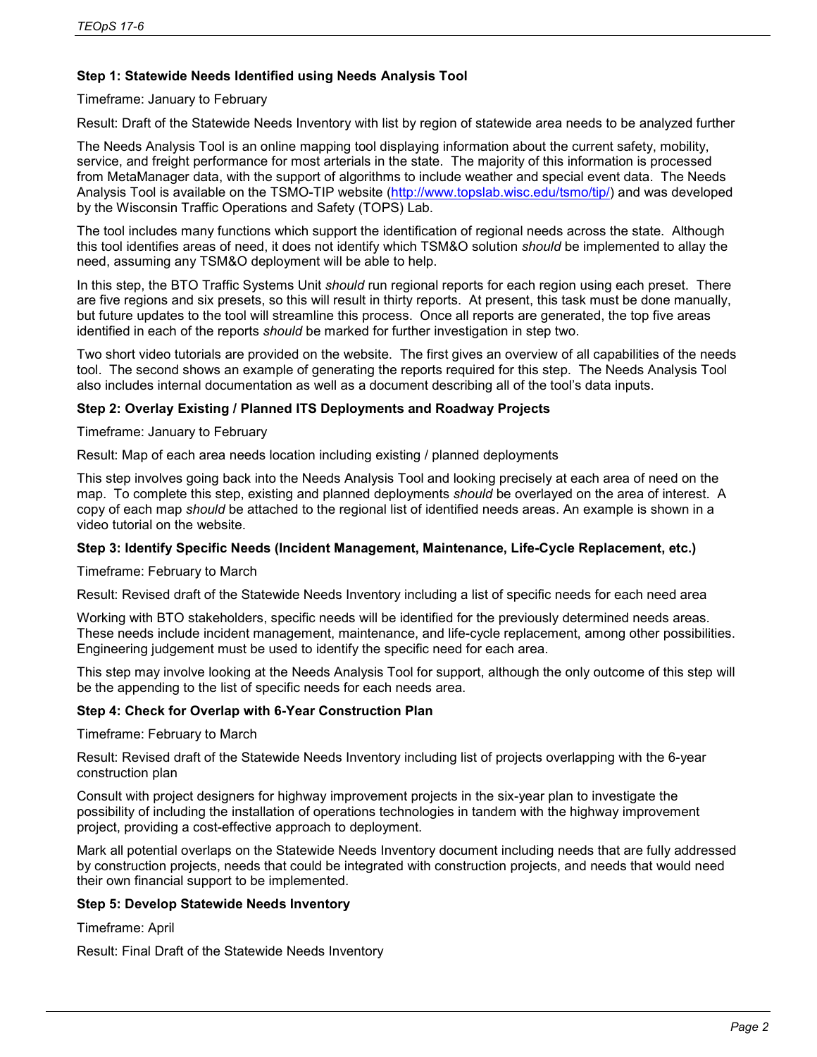## **Step 1: Statewide Needs Identified using Needs Analysis Tool**

### Timeframe: January to February

Result: Draft of the Statewide Needs Inventory with list by region of statewide area needs to be analyzed further

The Needs Analysis Tool is an online mapping tool displaying information about the current safety, mobility, service, and freight performance for most arterials in the state. The majority of this information is processed from MetaManager data, with the support of algorithms to include weather and special event data. The Needs Analysis Tool is available on the TSMO-TIP website [\(http://www.topslab.wisc.edu/tsmo/tip/\)](http://www.topslab.wisc.edu/tsmo/tip/) and was developed by the Wisconsin Traffic Operations and Safety (TOPS) Lab.

The tool includes many functions which support the identification of regional needs across the state. Although this tool identifies areas of need, it does not identify which TSM&O solution *should* be implemented to allay the need, assuming any TSM&O deployment will be able to help.

In this step, the BTO Traffic Systems Unit *should* run regional reports for each region using each preset. There are five regions and six presets, so this will result in thirty reports. At present, this task must be done manually, but future updates to the tool will streamline this process. Once all reports are generated, the top five areas identified in each of the reports *should* be marked for further investigation in step two.

Two short video tutorials are provided on the website. The first gives an overview of all capabilities of the needs tool. The second shows an example of generating the reports required for this step. The Needs Analysis Tool also includes internal documentation as well as a document describing all of the tool's data inputs.

### **Step 2: Overlay Existing / Planned ITS Deployments and Roadway Projects**

Timeframe: January to February

Result: Map of each area needs location including existing / planned deployments

This step involves going back into the Needs Analysis Tool and looking precisely at each area of need on the map. To complete this step, existing and planned deployments *should* be overlayed on the area of interest. A copy of each map *should* be attached to the regional list of identified needs areas. An example is shown in a video tutorial on the website.

## **Step 3: Identify Specific Needs (Incident Management, Maintenance, Life-Cycle Replacement, etc.)**

Timeframe: February to March

Result: Revised draft of the Statewide Needs Inventory including a list of specific needs for each need area

Working with BTO stakeholders, specific needs will be identified for the previously determined needs areas. These needs include incident management, maintenance, and life-cycle replacement, among other possibilities. Engineering judgement must be used to identify the specific need for each area.

This step may involve looking at the Needs Analysis Tool for support, although the only outcome of this step will be the appending to the list of specific needs for each needs area.

## **Step 4: Check for Overlap with 6-Year Construction Plan**

Timeframe: February to March

Result: Revised draft of the Statewide Needs Inventory including list of projects overlapping with the 6-year construction plan

Consult with project designers for highway improvement projects in the six-year plan to investigate the possibility of including the installation of operations technologies in tandem with the highway improvement project, providing a cost-effective approach to deployment.

Mark all potential overlaps on the Statewide Needs Inventory document including needs that are fully addressed by construction projects, needs that could be integrated with construction projects, and needs that would need their own financial support to be implemented.

#### **Step 5: Develop Statewide Needs Inventory**

Timeframe: April

Result: Final Draft of the Statewide Needs Inventory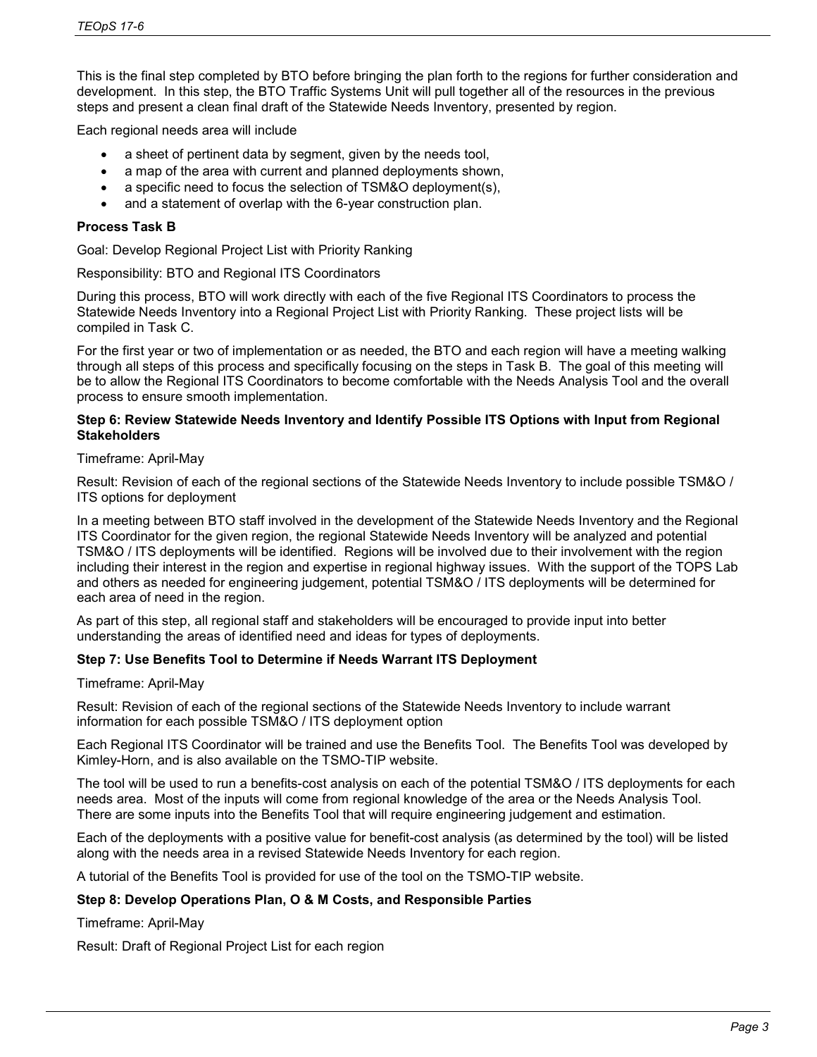This is the final step completed by BTO before bringing the plan forth to the regions for further consideration and development. In this step, the BTO Traffic Systems Unit will pull together all of the resources in the previous steps and present a clean final draft of the Statewide Needs Inventory, presented by region.

Each regional needs area will include

- a sheet of pertinent data by segment, given by the needs tool,
- a map of the area with current and planned deployments shown,
- a specific need to focus the selection of TSM&O deployment(s),
- and a statement of overlap with the 6-year construction plan.

#### **Process Task B**

Goal: Develop Regional Project List with Priority Ranking

Responsibility: BTO and Regional ITS Coordinators

During this process, BTO will work directly with each of the five Regional ITS Coordinators to process the Statewide Needs Inventory into a Regional Project List with Priority Ranking. These project lists will be compiled in Task C.

For the first year or two of implementation or as needed, the BTO and each region will have a meeting walking through all steps of this process and specifically focusing on the steps in Task B. The goal of this meeting will be to allow the Regional ITS Coordinators to become comfortable with the Needs Analysis Tool and the overall process to ensure smooth implementation.

#### **Step 6: Review Statewide Needs Inventory and Identify Possible ITS Options with Input from Regional Stakeholders**

#### Timeframe: April-May

Result: Revision of each of the regional sections of the Statewide Needs Inventory to include possible TSM&O / ITS options for deployment

In a meeting between BTO staff involved in the development of the Statewide Needs Inventory and the Regional ITS Coordinator for the given region, the regional Statewide Needs Inventory will be analyzed and potential TSM&O / ITS deployments will be identified. Regions will be involved due to their involvement with the region including their interest in the region and expertise in regional highway issues. With the support of the TOPS Lab and others as needed for engineering judgement, potential TSM&O / ITS deployments will be determined for each area of need in the region.

As part of this step, all regional staff and stakeholders will be encouraged to provide input into better understanding the areas of identified need and ideas for types of deployments.

#### **Step 7: Use Benefits Tool to Determine if Needs Warrant ITS Deployment**

Timeframe: April-May

Result: Revision of each of the regional sections of the Statewide Needs Inventory to include warrant information for each possible TSM&O / ITS deployment option

Each Regional ITS Coordinator will be trained and use the Benefits Tool. The Benefits Tool was developed by Kimley-Horn, and is also available on the TSMO-TIP website.

The tool will be used to run a benefits-cost analysis on each of the potential TSM&O / ITS deployments for each needs area. Most of the inputs will come from regional knowledge of the area or the Needs Analysis Tool. There are some inputs into the Benefits Tool that will require engineering judgement and estimation.

Each of the deployments with a positive value for benefit-cost analysis (as determined by the tool) will be listed along with the needs area in a revised Statewide Needs Inventory for each region.

A tutorial of the Benefits Tool is provided for use of the tool on the TSMO-TIP website.

#### **Step 8: Develop Operations Plan, O & M Costs, and Responsible Parties**

Timeframe: April-May

Result: Draft of Regional Project List for each region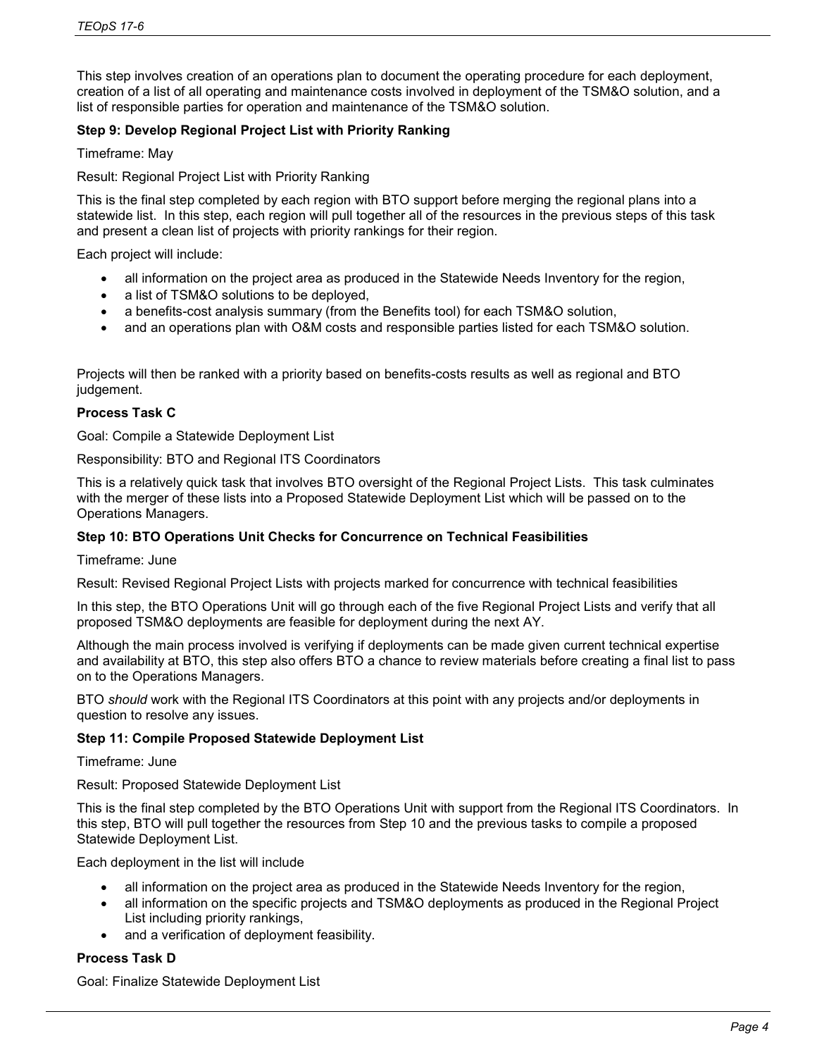This step involves creation of an operations plan to document the operating procedure for each deployment, creation of a list of all operating and maintenance costs involved in deployment of the TSM&O solution, and a list of responsible parties for operation and maintenance of the TSM&O solution.

## **Step 9: Develop Regional Project List with Priority Ranking**

Timeframe: May

### Result: Regional Project List with Priority Ranking

This is the final step completed by each region with BTO support before merging the regional plans into a statewide list. In this step, each region will pull together all of the resources in the previous steps of this task and present a clean list of projects with priority rankings for their region.

Each project will include:

- all information on the project area as produced in the Statewide Needs Inventory for the region,
- a list of TSM&O solutions to be deployed,
- a benefits-cost analysis summary (from the Benefits tool) for each TSM&O solution,
- and an operations plan with O&M costs and responsible parties listed for each TSM&O solution.

Projects will then be ranked with a priority based on benefits-costs results as well as regional and BTO judgement.

### **Process Task C**

Goal: Compile a Statewide Deployment List

Responsibility: BTO and Regional ITS Coordinators

This is a relatively quick task that involves BTO oversight of the Regional Project Lists. This task culminates with the merger of these lists into a Proposed Statewide Deployment List which will be passed on to the Operations Managers.

#### **Step 10: BTO Operations Unit Checks for Concurrence on Technical Feasibilities**

Timeframe: June

Result: Revised Regional Project Lists with projects marked for concurrence with technical feasibilities

In this step, the BTO Operations Unit will go through each of the five Regional Project Lists and verify that all proposed TSM&O deployments are feasible for deployment during the next AY.

Although the main process involved is verifying if deployments can be made given current technical expertise and availability at BTO, this step also offers BTO a chance to review materials before creating a final list to pass on to the Operations Managers.

BTO *should* work with the Regional ITS Coordinators at this point with any projects and/or deployments in question to resolve any issues.

#### **Step 11: Compile Proposed Statewide Deployment List**

Timeframe: June

Result: Proposed Statewide Deployment List

This is the final step completed by the BTO Operations Unit with support from the Regional ITS Coordinators. In this step, BTO will pull together the resources from Step 10 and the previous tasks to compile a proposed Statewide Deployment List.

Each deployment in the list will include

- all information on the project area as produced in the Statewide Needs Inventory for the region,
- all information on the specific projects and TSM&O deployments as produced in the Regional Project List including priority rankings,
- and a verification of deployment feasibility.

## **Process Task D**

Goal: Finalize Statewide Deployment List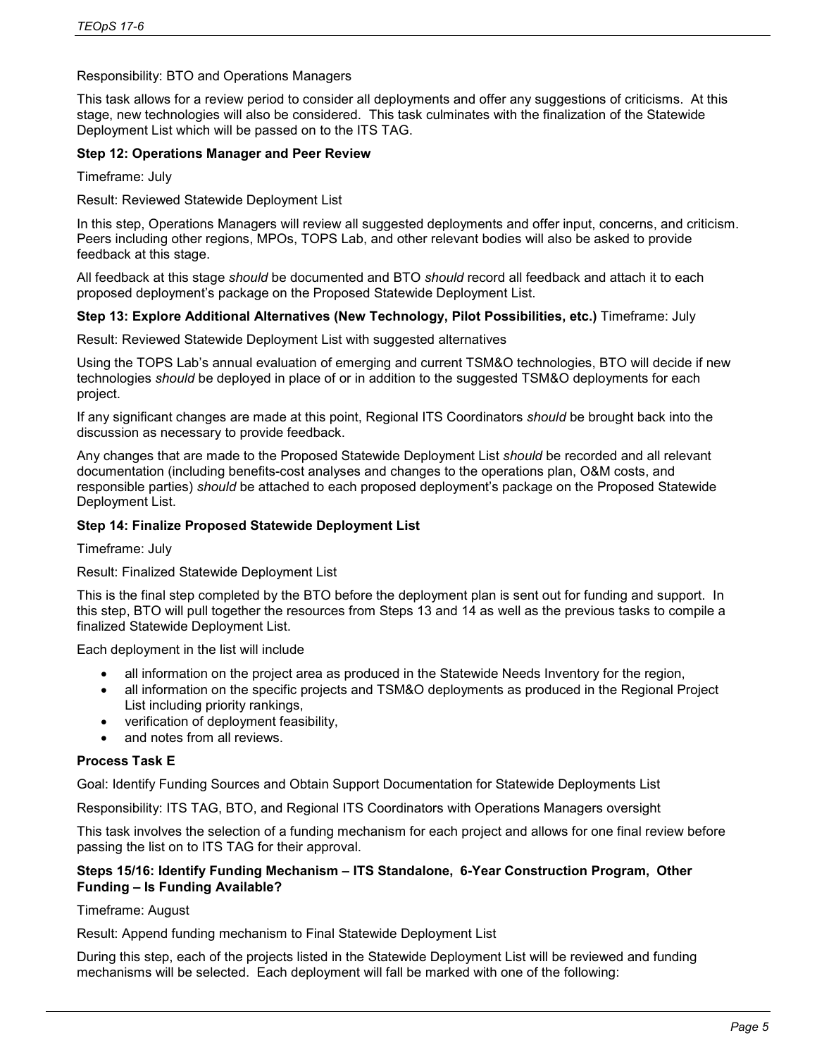## Responsibility: BTO and Operations Managers

This task allows for a review period to consider all deployments and offer any suggestions of criticisms. At this stage, new technologies will also be considered. This task culminates with the finalization of the Statewide Deployment List which will be passed on to the ITS TAG.

### **Step 12: Operations Manager and Peer Review**

Timeframe: July

Result: Reviewed Statewide Deployment List

In this step, Operations Managers will review all suggested deployments and offer input, concerns, and criticism. Peers including other regions, MPOs, TOPS Lab, and other relevant bodies will also be asked to provide feedback at this stage.

All feedback at this stage *should* be documented and BTO *should* record all feedback and attach it to each proposed deployment's package on the Proposed Statewide Deployment List.

### **Step 13: Explore Additional Alternatives (New Technology, Pilot Possibilities, etc.)** Timeframe: July

Result: Reviewed Statewide Deployment List with suggested alternatives

Using the TOPS Lab's annual evaluation of emerging and current TSM&O technologies, BTO will decide if new technologies *should* be deployed in place of or in addition to the suggested TSM&O deployments for each project.

If any significant changes are made at this point, Regional ITS Coordinators *should* be brought back into the discussion as necessary to provide feedback.

Any changes that are made to the Proposed Statewide Deployment List *should* be recorded and all relevant documentation (including benefits-cost analyses and changes to the operations plan, O&M costs, and responsible parties) *should* be attached to each proposed deployment's package on the Proposed Statewide Deployment List.

### **Step 14: Finalize Proposed Statewide Deployment List**

Timeframe: July

#### Result: Finalized Statewide Deployment List

This is the final step completed by the BTO before the deployment plan is sent out for funding and support. In this step, BTO will pull together the resources from Steps 13 and 14 as well as the previous tasks to compile a finalized Statewide Deployment List.

Each deployment in the list will include

- all information on the project area as produced in the Statewide Needs Inventory for the region,
- all information on the specific projects and TSM&O deployments as produced in the Regional Project List including priority rankings,
- verification of deployment feasibility,
- and notes from all reviews.

#### **Process Task E**

Goal: Identify Funding Sources and Obtain Support Documentation for Statewide Deployments List

Responsibility: ITS TAG, BTO, and Regional ITS Coordinators with Operations Managers oversight

This task involves the selection of a funding mechanism for each project and allows for one final review before passing the list on to ITS TAG for their approval.

## **Steps 15/16: Identify Funding Mechanism – ITS Standalone, 6-Year Construction Program, Other Funding – Is Funding Available?**

Timeframe: August

Result: Append funding mechanism to Final Statewide Deployment List

During this step, each of the projects listed in the Statewide Deployment List will be reviewed and funding mechanisms will be selected. Each deployment will fall be marked with one of the following: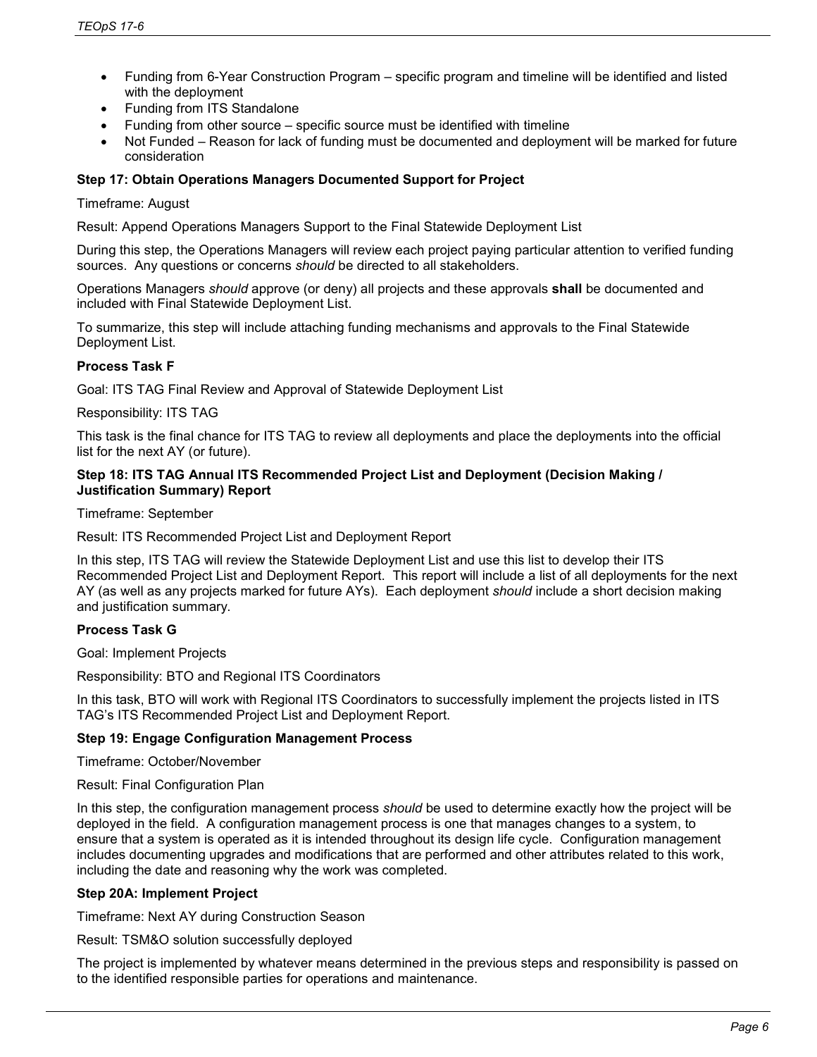- Funding from 6-Year Construction Program specific program and timeline will be identified and listed with the deployment
- Funding from ITS Standalone
- Funding from other source specific source must be identified with timeline
- Not Funded Reason for lack of funding must be documented and deployment will be marked for future consideration

### **Step 17: Obtain Operations Managers Documented Support for Project**

#### Timeframe: August

Result: Append Operations Managers Support to the Final Statewide Deployment List

During this step, the Operations Managers will review each project paying particular attention to verified funding sources. Any questions or concerns *should* be directed to all stakeholders.

Operations Managers *should* approve (or deny) all projects and these approvals **shall** be documented and included with Final Statewide Deployment List.

To summarize, this step will include attaching funding mechanisms and approvals to the Final Statewide Deployment List.

### **Process Task F**

Goal: ITS TAG Final Review and Approval of Statewide Deployment List

Responsibility: ITS TAG

This task is the final chance for ITS TAG to review all deployments and place the deployments into the official list for the next AY (or future).

#### **Step 18: ITS TAG Annual ITS Recommended Project List and Deployment (Decision Making / Justification Summary) Report**

Timeframe: September

Result: ITS Recommended Project List and Deployment Report

In this step, ITS TAG will review the Statewide Deployment List and use this list to develop their ITS Recommended Project List and Deployment Report. This report will include a list of all deployments for the next AY (as well as any projects marked for future AYs). Each deployment *should* include a short decision making and justification summary.

## **Process Task G**

Goal: Implement Projects

Responsibility: BTO and Regional ITS Coordinators

In this task, BTO will work with Regional ITS Coordinators to successfully implement the projects listed in ITS TAG's ITS Recommended Project List and Deployment Report.

## **Step 19: Engage Configuration Management Process**

Timeframe: October/November

Result: Final Configuration Plan

In this step, the configuration management process *should* be used to determine exactly how the project will be deployed in the field. A configuration management process is one that manages changes to a system, to ensure that a system is operated as it is intended throughout its design life cycle. Configuration management includes documenting upgrades and modifications that are performed and other attributes related to this work, including the date and reasoning why the work was completed.

#### **Step 20A: Implement Project**

Timeframe: Next AY during Construction Season

Result: TSM&O solution successfully deployed

The project is implemented by whatever means determined in the previous steps and responsibility is passed on to the identified responsible parties for operations and maintenance.